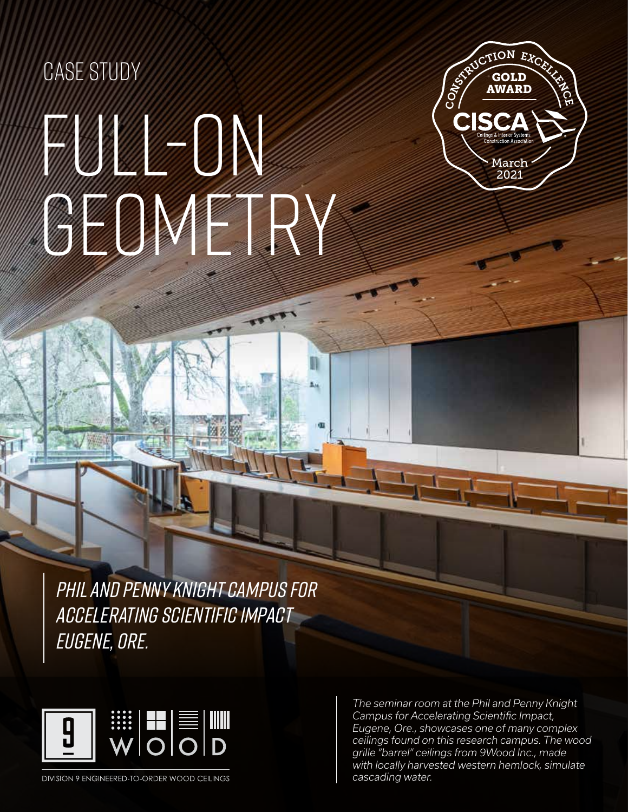# FULL-ON GEOMETRY CASE STUDY



PHIL AND PENNY KNIGHT CAMPUS FOR ACCELERATING SCIENTIFIC IMPACT EUGENE, ORE.



DIVISION 9 ENGINEERED-TO-ORDER WOOD CEILINGS

FITS THAT FIRST THAT FIRST THAT FIRST THAT FIRST TERRAIN ISSUES AND MUSEUM OF THE TERRAIN ISSUES AND MUSEUM OF THE TERRAIN ISSUES AND MUSEUM OF THE TERRAIN ISSUES AND MUSEUM OF THE TERRAIN ISSUES AND MUSIC THAT THE TERRAIN *The seminar room at the Phil and Penny Knight Campus for Accelerating Scientific Impact, Eugene, Ore., showcases one of many complex ceilings found on this research campus. The wood grille "barrel" ceilings from 9Wood Inc., made cascading water.*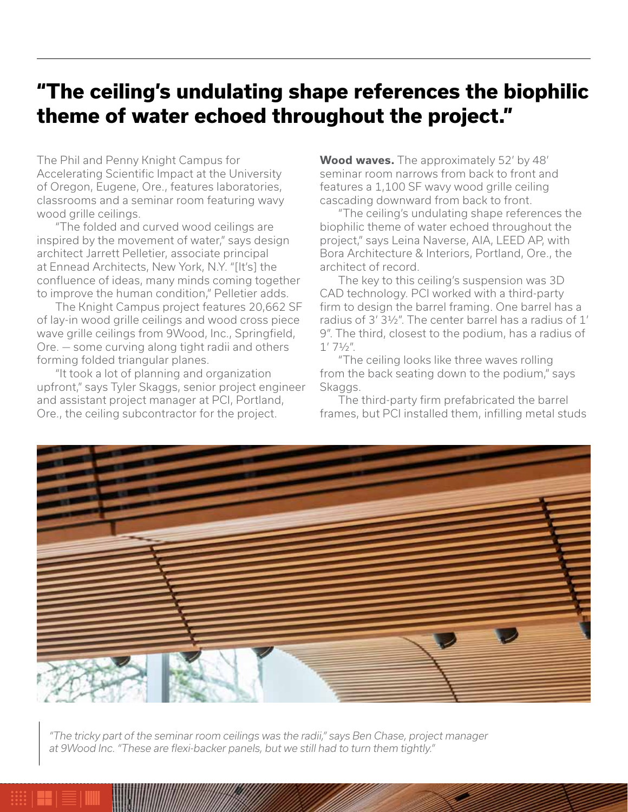### **"The ceiling's undulating shape references the biophilic theme of water echoed throughout the project."**

The Phil and Penny Knight Campus for Accelerating Scientific Impact at the University of Oregon, Eugene, Ore., features laboratories, classrooms and a seminar room featuring wavy wood grille ceilings.

"The folded and curved wood ceilings are inspired by the movement of water," says design architect Jarrett Pelletier, associate principal at Ennead Architects, New York, N.Y. "[It's] the confluence of ideas, many minds coming together to improve the human condition," Pelletier adds.

The Knight Campus project features 20,662 SF of lay-in wood grille ceilings and wood cross piece wave grille ceilings from 9Wood, Inc., Springfield, Ore. — some curving along tight radii and others forming folded triangular planes.

"It took a lot of planning and organization upfront," says Tyler Skaggs, senior project engineer and assistant project manager at PCI, Portland, Ore., the ceiling subcontractor for the project.

**Wood waves.** The approximately 52' by 48' seminar room narrows from back to front and features a 1,100 SF wavy wood grille ceiling cascading downward from back to front.

"The ceiling's undulating shape references the biophilic theme of water echoed throughout the project," says Leina Naverse, AIA, LEED AP, with Bora Architecture & Interiors, Portland, Ore., the architect of record.

The key to this ceiling's suspension was 3D CAD technology. PCI worked with a third-party firm to design the barrel framing. One barrel has a radius of 3' 3½". The center barrel has a radius of 1' 9". The third, closest to the podium, has a radius of  $1'$  7 $1/2''$ .

"The ceiling looks like three waves rolling from the back seating down to the podium," says Skaggs.

The third-party firm prefabricated the barrel frames, but PCI installed them, infilling metal studs



*"The tricky part of the seminar room ceilings was the radii," says Ben Chase, project manager at 9Wood Inc. "These are flexi-backer panels, but we still had to turn them tightly."*

 $\Gamma$  fits that fits the terrain is the terrain  $\Gamma$  alaska state library, are  $\Gamma$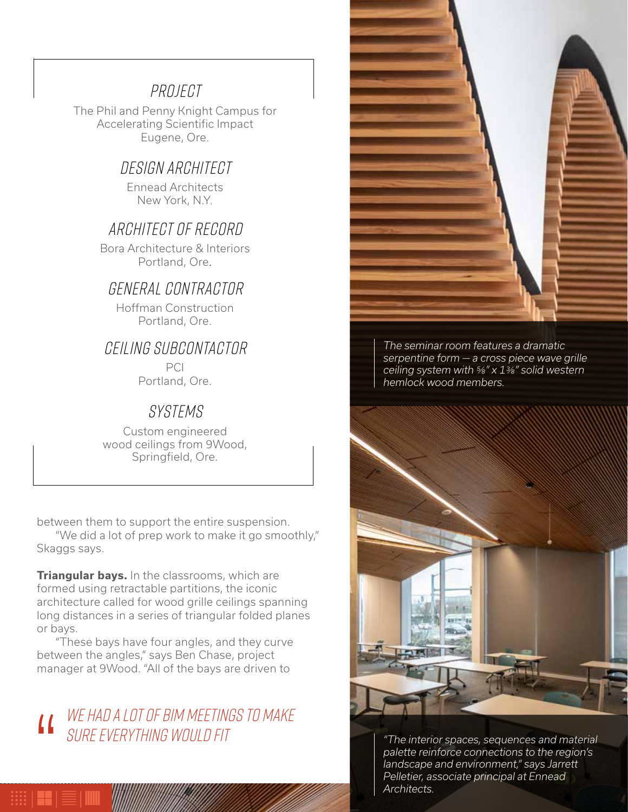#### PROJECT

The Phil and Penny Knight Campus for Accelerating Scientific Impact Eugene, Ore.

#### DESIGN ARCHITECT

Ennead Architects New York, N.Y.

#### Architect OF RECORD

Bora Architecture & Interiors Portland, Ore.

#### general CONTRACTOR

Hoffman Construction Portland, Ore.

#### CEILING SUBCONTACTOR

PCI Portland, Ore.

#### Systems

Custom engineered wood ceilings from 9Wood, Springfield, Ore.

between them to support the entire suspension.

"We did a lot of prep work to make it go smoothly," Skaggs says.

**Triangular bays.** In the classrooms, which are formed using retractable partitions, the iconic architecture called for wood grille ceilings spanning long distances in a series of triangular folded planes or bays.

"These bays have four angles, and they curve between the angles," says Ben Chase, project manager at 9Wood. "All of the bays are driven to

## WE HAD A LOT OF BIM MEETINGS TO MAKE SURE EVERYTHING WOULD FIT |<br>|<br>|



*The seminar room features a dramatic serpentine form — a cross piece wave grille ceiling system with ⅝" x 1⅜" solid western hemlock wood members.*



demontant *instantant and state and environment," says Jarrett* and  $\alpha$ *"The interior spaces, sequences and material palette reinforce connections to the region's Pelletier, associate principal at Ennead Architects.*